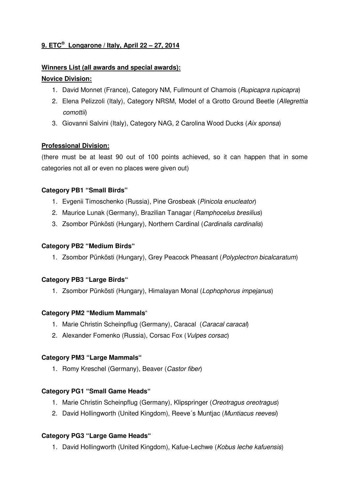# **9. ETC® Longarone / Italy, April 22 – 27, 2014**

# **Winners List (all awards and special awards):**

## **Novice Division:**

- 1. David Monnet (France), Category NM, Fullmount of Chamois (*Rupicapra rupicapra*)
- 2. Elena Pelizzoli (Italy), Category NRSM, Model of a Grotto Ground Beetle (Allegrettia comottii)
- 3. Giovanni Salvini (Italy), Category NAG, 2 Carolina Wood Ducks (Aix sponsa)

## **Professional Division:**

(there must be at least 90 out of 100 points achieved, so it can happen that in some categories not all or even no places were given out)

## **Category PB1 "Small Birds"**

- 1. Evgenii Timoschenko (Russia), Pine Grosbeak (Pinicola enucleator)
- 2. Maurice Lunak (Germany), Brazilian Tanagar (Ramphocelus bresilius)
- 3. Zsombor Pünkösti (Hungary), Northern Cardinal (Cardinalis cardinalis)

### **Category PB2 "Medium Birds"**

1. Zsombor Pünkösti (Hungary), Grey Peacock Pheasant (Polyplectron bicalcaratum)

### **Category PB3 "Large Birds"**

1. Zsombor Pünkösti (Hungary), Himalayan Monal (Lophophorus impejanus)

### **Category PM2 "Medium Mammals**"

- 1. Marie Christin Scheinpflug (Germany), Caracal (Caracal caracal)
- 2. Alexander Fomenko (Russia), Corsac Fox (Vulpes corsac)

## **Category PM3 "Large Mammals"**

1. Romy Kreschel (Germany), Beaver (Castor fiber)

### **Category PG1 "Small Game Heads"**

- 1. Marie Christin Scheinpflug (Germany), Klipspringer (Oreotragus oreotragus)
- 2. David Hollingworth (United Kingdom), Reeve's Muntjac (Muntiacus reevesi)

## **Category PG3 "Large Game Heads"**

1. David Hollingworth (United Kingdom), Kafue-Lechwe (Kobus leche kafuensis)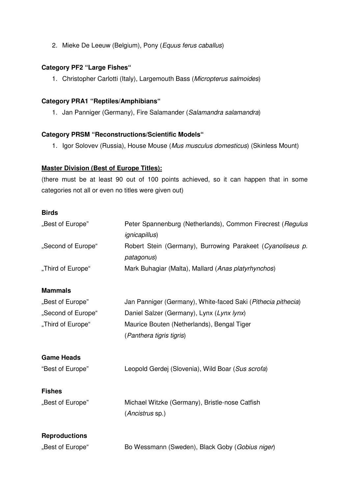2. Mieke De Leeuw (Belgium), Pony (Equus ferus caballus)

## **Category PF2 "Large Fishes"**

1. Christopher Carlotti (Italy), Largemouth Bass (Micropterus salmoides)

### **Category PRA1 "Reptiles/Amphibians"**

1. Jan Panniger (Germany), Fire Salamander (Salamandra salamandra)

#### **Category PRSM "Reconstructions/Scientific Models"**

1. Igor Solovev (Russia), House Mouse (Mus musculus domesticus) (Skinless Mount)

### **Master Division (Best of Europe Titles):**

(there must be at least 90 out of 100 points achieved, so it can happen that in some categories not all or even no titles were given out)

### **Birds**

| "Best of Europe"<br>"Second of Europe"<br>"Third of Europe" | Peter Spannenburg (Netherlands), Common Firecrest (Regulus<br><i>ignicapillus</i> )<br>Robert Stein (Germany), Burrowing Parakeet (Cyanoliseus p.<br>patagonus)<br>Mark Buhagiar (Malta), Mallard (Anas platyrhynchos) |                  |                                                              |
|-------------------------------------------------------------|------------------------------------------------------------------------------------------------------------------------------------------------------------------------------------------------------------------------|------------------|--------------------------------------------------------------|
|                                                             |                                                                                                                                                                                                                        | <b>Mammals</b>   |                                                              |
|                                                             |                                                                                                                                                                                                                        | "Best of Europe" | Jan Panniger (Germany), White-faced Saki (Pithecia pithecia) |
| "Second of Europe"                                          | Daniel Salzer (Germany), Lynx (Lynx lynx)                                                                                                                                                                              |                  |                                                              |
| "Third of Europe"                                           | Maurice Bouten (Netherlands), Bengal Tiger                                                                                                                                                                             |                  |                                                              |
|                                                             | (Panthera tigris tigris)                                                                                                                                                                                               |                  |                                                              |
| <b>Game Heads</b>                                           |                                                                                                                                                                                                                        |                  |                                                              |
| "Best of Europe"                                            | Leopold Gerdej (Slovenia), Wild Boar (Sus scrofa)                                                                                                                                                                      |                  |                                                              |
| <b>Fishes</b>                                               |                                                                                                                                                                                                                        |                  |                                                              |
| "Best of Europe"                                            | Michael Witzke (Germany), Bristle-nose Catfish                                                                                                                                                                         |                  |                                                              |
|                                                             | (Ancistrus sp.)                                                                                                                                                                                                        |                  |                                                              |
| <b>Reproductions</b>                                        |                                                                                                                                                                                                                        |                  |                                                              |
| "Best of Europe"                                            | Bo Wessmann (Sweden), Black Goby (Gobius niger)                                                                                                                                                                        |                  |                                                              |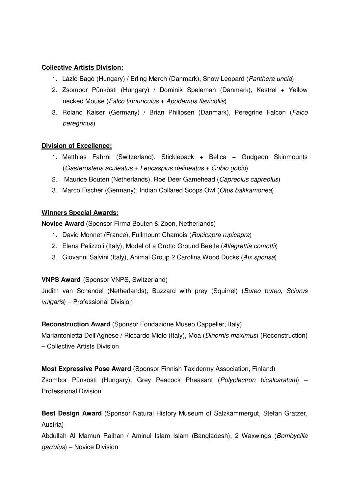## **Collective Artists Division:**

- 1. Lázló Bagó (Hungary) / Erling Mørch (Danmark), Snow Leopard (Panthera uncia)
- 2. Zsombor Pünkösti (Hungary) / Dominik Speleman (Danmark), Kestrel + Yellow necked Mouse (Falco tinnunculus + Apodemus flavicollis)
- 3. Roland Kaiser (Germany) / Brian Philipsen (Danmark), Peregrine Falcon (Falco peregrinus)

## **Division of Excellence:**

- 1. Matthias Fahrni (Switzerland), Stickleback + Belica + Gudgeon Skinmounts (Gasterosteus aculeatus + Leucaspius delineatus + Gobio gobio)
- 2. Maurice Bouten (Netherlands), Roe Deer Gamehead (Capreolus capreolus)
- 3. Marco Fischer (Germany), Indian Collared Scops Owl (Otus bakkamonea)

## **Winners Special Awards:**

**Novice Award** (Sponsor Firma Bouten & Zoon, Netherlands)

- 1. David Monnet (France), Fullmount Chamois (Rupicapra rupicapra)
- 2. Elena Pelizzoli (Italy), Model of a Grotto Ground Beetle (Allegrettia comottii)
- 3. Giovanni Salvini (Italy), Animal Group 2 Carolina Wood Ducks (Aix sponsa)

## **VNPS Award** (Sponsor VNPS, Switzerland)

Judith van Schendel (Netherlands), Buzzard with prey (Squirrel) (Buteo buteo, Sciurus vulgaris) – Professional Division

**Reconstruction Award** (Sponsor Fondazione Museo Cappeller, Italy) Mariantonietta Dell'Agnese / Riccardo Miolo (Italy), Moa (Dinornis maximus) (Reconstruction) – Collective Artists Division

**Most Expressive Pose Award** (Sponsor Finnish Taxidermy Association, Finland) Zsombor Pünkösti (Hungary), Grey Peacock Pheasant (Polyplectron bicalcaratum) –

Professional Division

**Best Design Award** (Sponsor Natural History Museum of Salzkammergut, Stefan Gratzer, Austria)

Abdullah Al Mamun Raihan / Aminul Islam Islam (Bangladesh), 2 Waxwings (Bombycilla garrulus) – Novice Division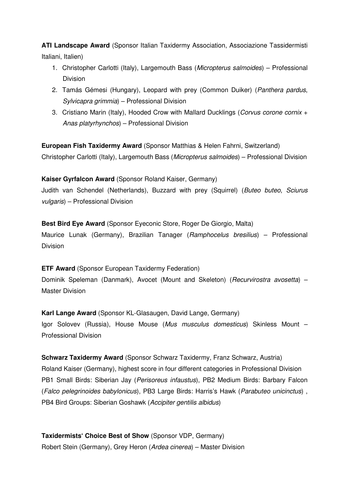**ATI Landscape Award** (Sponsor Italian Taxidermy Association, Associazione Tassidermisti Italiani, Italien)

- 1. Christopher Carlotti (Italy), Largemouth Bass (Micropterus salmoides) Professional Division
- 2. Tamás Gémesi (Hungary), Leopard with prey (Common Duiker) (Panthera pardus, Sylvicapra grimmia) – Professional Division
- 3. Cristiano Marin (Italy), Hooded Crow with Mallard Ducklings (Corvus corone cornix + Anas platyrhynchos) – Professional Division

**European Fish Taxidermy Award** (Sponsor Matthias & Helen Fahrni, Switzerland) Christopher Carlotti (Italy), Largemouth Bass (Micropterus salmoides) – Professional Division

**Kaiser Gyrfalcon Award** (Sponsor Roland Kaiser, Germany) Judith van Schendel (Netherlands), Buzzard with prey (Squirrel) (Buteo buteo, Sciurus vulgaris) – Professional Division

**Best Bird Eye Award** (Sponsor Eyeconic Store, Roger De Giorgio, Malta) Maurice Lunak (Germany), Brazilian Tanager (*Ramphocelus bresilius*) – Professional Division

**ETF Award** (Sponsor European Taxidermy Federation) Dominik Speleman (Danmark), Avocet (Mount and Skeleton) (*Recurvirostra avosetta*) – Master Division

**Karl Lange Award** (Sponsor KL-Glasaugen, David Lange, Germany) Igor Solovev (Russia), House Mouse (Mus musculus domesticus) Skinless Mount – Professional Division

**Schwarz Taxidermy Award** (Sponsor Schwarz Taxidermy, Franz Schwarz, Austria) Roland Kaiser (Germany), highest score in four different categories in Professional Division PB1 Small Birds: Siberian Jay (Perisoreus infaustus), PB2 Medium Birds: Barbary Falcon (Falco pelegrinoides babylonicus), PB3 Large Birds: Harris's Hawk (Parabuteo unicinctus) , PB4 Bird Groups: Siberian Goshawk (Accipiter gentilis albidus)

**Taxidermists' Choice Best of Show** (Sponsor VDP, Germany) Robert Stein (Germany), Grey Heron (Ardea cinerea) – Master Division